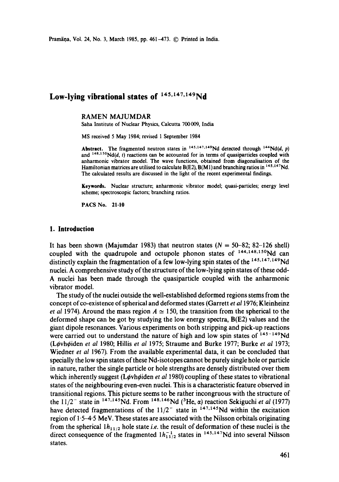Pramāņa, Vol. 24, No. 3, March 1985, pp. 461-473. © Printed in India.

# Low-lying vibrational states of  $145,147,149$ Nd

#### RAMEN MAJUMDAR

Saha Institute of Nuclear Physics, Calcutta 700009, India

MS received 5 May 1984; revised 1 September 1984

Abstract. The fragmented neutron states in  $145,147,149$ Nd detected through  $144N d(d, p)$ and  $148,150$  Nd(d, t) reactions can be accounted for in terms of quasiparticles coupled with anharmonic vibrator model. The wave functions, obtained from diagonalisation of the Hamiltonian matrices are utilised to calculate  $B(E2)$ ,  $B(M1)$  and branching ratios in  $^{145,147}$ Nd. The calculated results are discussed in the light of the recent experimental findings.

Keywords. Nuclear structure; anharmonic vibrator model; quasi-particles; energy level scheme; spectroscopic factors; branching ratios.

PACS No. 21.10

# **1. Introduction**

It has been shown (Majumdar 1983) that neutron states  $(N = 50-82; 82-126$  shell) coupled with the quadrupole and octupole phonon states of  $144,148,150$ Nd can distinctly explain the fragmentation of a few low-lying spin states of the <sup>145,147,149</sup>Nd nuclei. A comprehensive study of the structure of the low-lying spin states of these odd-A nuclei has been made through the quasiparticle coupled with the anharmonic vibrator model.

The study of the nuclei outside the well-established deformed regions stems from the concept of co-existence of spherical and deformed states (Garrett *et al* 1976; Kleinheinz *et al* 1974). Around the mass region  $A \approx 150$ , the transition from the spherical to the deformed shape can be got by studying the low energy spectra, B(E2) values and the giant dipole resonances. Various experiments on both stripping and pick-up reactions were carried out to understand the nature of high and low spin states of  $145-149$ Nd (LCvh¢iden *et al* 1980; Hillis *et al* 1975; Straume and Burke 1977; Burke *et al* 1973; Wiedner *et al* 1967). From the available experimental data, it can be concluded that specially the low spin states of these Nd-isotopes cannot be purely single hole or particle in nature, rather the single particle or hole strengths are densely distributed over them which inherently suggest (Løyhøiden *et al* 1980) coupling of these states to vibrational states of the neighbouring even-even nuclei. This is a characteristic feature observed in transitional regions. This picture seems to be rather incongruous with the structure of the  $11/2^-$  state in <sup>147,145</sup>Nd. From <sup>148,146</sup>Nd (<sup>3</sup>He,  $\alpha$ ) reaction Sekiguchi *et al* (1977) have detected fragmentations of the  $11/2^-$  state in  $147,145$ Nd within the excitation region of 1.5-4.5 MeV. These states are associated with the Nilsson orbitals originating from the spherical  $1h_{11/2}$  hole state *i.e.* the result of deformation of these nuclei is the direct consequence of the fragmented  $1h_{11/2}^{-1}$  states in  $145,147$ Nd into several Nilsson states.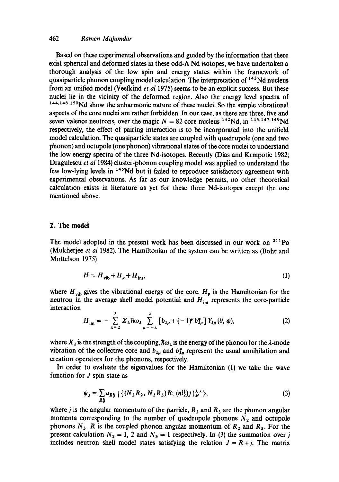# 462 *Ramen Majumdar*

Based on these experimental observations and guided by the information that there exist spherical and deformed states in these odd-A Nd isotopes, we have undertaken a thorough analysis of the low spin and energy states within the framework of quasiparticle phonon coupling model calculation. The interpretation of 143Nd nucleus from an unified model (Vecfkind *et al* 1975) seems to be an explicit success. But these nuclei lie in the vicinity of the deformed region. Also the energy level spectra of 144,148,150Nd show the anharmonic nature of these nuclei. So the simple vibrational aspects of the core nuclei are rather forbidden. In our case, as there are three, five and seven valence neutrons, over the magic  $N = 82$  core nucleus <sup>142</sup>Nd, in <sup>145,147,149</sup>Nd respectively, the effect of pairing interaction is to be incorporated into the unifield model calculation. The quasiparticle states are coupled with quadrupole (one and two phonon) and octupole (one phonon) vibrational states of the core nuclei to understand the low energy spectra of the three Nd-isotopes. Recently (Dias and Krmpotic 1982; Dragulescu *et al* 1984) cluster-phonon coupling model was applied to understand the few low-lying levels in 145Nd but it failed to reproduce satisfactory agreement with experimental observations. As far as our knowledge permits, no other theoretical calculation exists in literature as yet for these three Nd-isotopes except the one mentioned above.

# **2. The model**

The model adopted in the present work has been discussed in our work on  $2^{11}$ Po (Mukherjee *et al* 1982). The Hamiltonian of the system can be written as (Bohr and Mottelson 1975)

$$
H = H_{\text{vib}} + H_p + H_{\text{int}},\tag{1}
$$

where  $H_{\text{vib}}$  gives the vibrational energy of the core.  $H_p$  is the Hamiltonian for the neutron in the average shell model potential and  $H_{int}$  represents the core-particle interaction

$$
H_{\rm int} = -\sum_{\lambda=2}^{3} X_{\lambda} \hbar \omega_{\lambda} \sum_{\mu=-\lambda}^{\lambda} \left[ b_{\lambda\mu} + (-1)^{\mu} b_{\lambda\mu}^{*} \right] Y_{\lambda\mu} (\theta, \phi), \tag{2}
$$

where  $X_{\lambda}$  is the strength of the coupling,  $\hbar\omega_{\lambda}$  is the energy of the phonon for the  $\lambda$ -mode vibration of the collective core and  $b_{\lambda u}$  and  $b_{\lambda u}^*$  represent the usual annihilation and creation operators for the phonons, respectively.

In order to evaluate the eigenvalues for the Hamiltonian (1) we take the wave function for  $J$  spin state as

$$
\psi_J = \sum_{Rij} a_{Rij} \left\{ (N_2 R_2, N_3 R_3) R; (n l_2^1) j \right\}_{M}^{J,\pi}, \tag{3}
$$

where *j* is the angular momentum of the particle,  $R_2$  and  $R_3$  are the phonon angular momenta corresponding to the number of quadrupole phonons  $N_2$  and octupole phonons  $N_3$ . R is the coupled phonon angular momentum of  $R_2$  and  $R_3$ . For the present calculation  $N_2 = 1$ , 2 and  $N_3 = 1$  respectively. In (3) the summation over j includes neutron shell model states satisfying the relation  $J = R + j$ . The matrix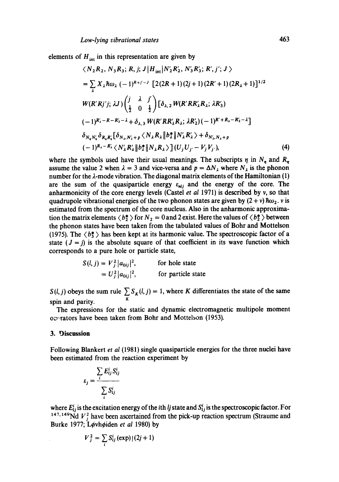elements of  $H_{int}$  in this representation are given by

$$
\langle N_{2}R_{2}, N_{3}R_{3}; R, j; J | H_{int} | N'_{2}R'_{2}, N'_{3}R'_{3}; R', j'; J \rangle
$$
  
\n
$$
= \sum_{\lambda} X_{\lambda} \hbar \omega_{\lambda} (-1)^{R+j-j} [2(2R+1)(2j+1)(2R'+1)(2R_{\lambda}+1)]^{1/2}
$$
  
\n
$$
W(R'R'j'j; \lambda J) \left(\frac{j}{\frac{1}{2}} \frac{\lambda}{0} \frac{j'}{\frac{1}{2}}\right) [\delta_{\lambda,2} W(R'RR'_{\lambda}R_{\lambda}; \lambda R'_{3})
$$
  
\n
$$
(-1)^{R'_{\lambda}-R-R'_{3}-\lambda} + \delta_{\lambda,3} W(R'RR'_{\lambda}R_{\lambda}; \lambda R'_{2}) (-1)^{R'+R_{\lambda}-R'_{2}-\lambda}]
$$
  
\n
$$
\delta_{N_{\lambda}N'_{\lambda}} \delta_{R_{\lambda}R'_{\lambda}} [\delta_{N_{\lambda},N'_{\lambda}+p} \langle N_{\lambda}R_{\lambda} \| b_{\lambda}^{*} \| N'_{\lambda}R'_{\lambda} \rangle + \delta_{N'_{\lambda},N_{\lambda}+p}
$$
  
\n
$$
(-1)^{R_{\lambda}-R'_{\lambda}} \langle N'_{\lambda}R'_{\lambda} \| b_{\lambda}^{*} \| N_{\lambda}R_{\lambda} \rangle ] (U_{j}U_{j'} - V_{j}V_{j'},)
$$
  
\n(4)

where the symbols used have their usual meanings. The subscripts  $\eta$  in  $N_a$  and  $R_a$ assume the value 2 when  $\lambda = 3$  and vice-versa and  $p = \Delta N_{\lambda}$  where  $N_{\lambda}$  is the phonon number for the  $\lambda$ -mode vibration. The diagonal matrix elements of the Hamiltonian (1) are the sum of the quasiparticle energy  $\varepsilon_{nl}$  and the energy of the core. The anharmonicity of the core energy levels (Castel *et al* 1971) is described by v, so that quadrupole vibrational energies of the two phonon states are given by  $(2 + v)$   $\hbar \omega_2$ . v is estimated from the spectrum of the core nucleus. Also in the anharmonic approximation the matrix elements  $\langle b^* \rangle$  for  $N_2 = 0$  and 2 exist. Here the values of  $\langle b^* \rangle$  between the phonon states have been taken from the tabulated values of Bohr and Mottelson (1975). The  $\langle b^*_{3} \rangle$  has been kept at its harmonic value. The spectroscopic factor of a state  $(J = j)$  is the absolute square of that coefficient in its wave function which corresponds to a pure hole or particle state,

$$
S(l, j) = V_j^2 |a_{0ij}|^2,
$$
 for hole state  
=  $U_j^2 |a_{0ij}|^2$ , for particle state

*S(l, j)* obeys the sum rule  $\sum_{K} S_K(l, j) = 1$ , where K differentiates the state of the same spin and parity.

The expressions for the static and dynamic electromagnetic multipole moment overators have been taken from Bohr and Mottelson (1953).

# **3. Discussion**

Following Blankert *et al* (1981) single quasiparticle energies for the three nuclei have been estimated from the reaction experiment by

$$
\varepsilon_j = \frac{\sum_i E_{ij}^i S_{ij}^i}{\sum_i S_{ij}^i}
$$

where  $E_{ij}^i$  is the excitation energy of the *i*th *lj* state and  $S_{ij}^i$  is the spectroscopic factor. For <sup>147, 149</sup>Nd  $V<sub>i</sub><sup>2</sup>$  have been ascertained from the pick-up reaction spectrum (Straume and Burke 1977; Løvhøiden et al 1980) by

$$
V_j^2 = \sum_i S_{ij}^i \left(\exp\right) \left(\left(2j+1\right)\right)
$$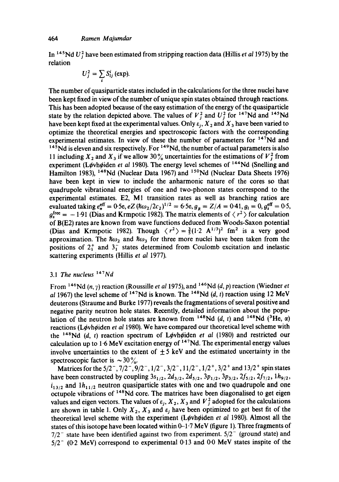In <sup>145</sup> Nd  $U_i^2$  have been estimated from stripping reaction data (Hillis *et al* 1975) by the relation

$$
U_j^2 = \sum_i S_{ij}^i \text{ (exp)}.
$$

The number of quasiparticle states included in the calculations for the three nuclei have been kept fixed in view of the number of unique spin states obtained through reactions. This has been adopted because of the easy estimation of the energy of the quasiparticle state by the relation depicted above. The values of  $V_i^2$  and  $U_i^2$  for <sup>147</sup>Nd and <sup>145</sup>Nd have been kept fixed at the experimental values. Only  $\varepsilon_1$ ,  $X_2$  and  $X_3$  have been varied to optimize the theoretical energies and spectroscopic factors with the corresponding experimental estimates. In view of these the number of parameters for <sup>147</sup>Nd and  $145$ Nd is eleven and six respectively. For  $149$ Nd, the number of actual parameters is also 11 including  $X_2$  and  $X_3$  if we allow 30% uncertainties for the estimations of  $V_i^2$  from experiment (Løvhøiden *et al* 1980). The energy level schemes of <sup>144</sup>Nd (Snelling and Hamilton 1983), 148Nd (Nuclear Data 1967) and 15°Nd (Nuclear Data Sheets 1976) have been kept in view to include the anharmonic nature of the cores so that quadrupole vibrational energies of one and two-phonon states correspond to the experimental estimates. E2, M1 transition rates as well as branching ratios are evaluated taking  $e_n^{\text{eff}} = 0.5e, eZ(\hbar\omega_2/2c_2)^{1/2} = 6.5e, g_R = Z/A = 0.41, g_l = 0, g_s^{\text{eff}} = 0.5$ ,  $g_{\rm sc}^{\rm free} = -1.91$  (Dias and Krmpotic 1982). The matrix elements of  $\langle r^2 \rangle$  for calculation of B(E2) rates are known from wave functions deduced from Woods-Saxon potential (Dias and Krmpotic 1982). Though  $\langle r^2 \rangle = \frac{3}{5}(1 \cdot 2 \text{ A}^{1/3})^2$  fm<sup>2</sup> is a very good approximation. The  $\hbar\omega_2$  and  $\hbar\omega_3$  for three more nuclei have been taken from the positions of  $2^{+}_{1}$  and  $3^{-}_{1}$  states determined from Coulomb excitation and inelastic scattering experiments (Hillis *et al* 1977).

# 3.1 *The nucleus 147Nd*

From  $146$ Nd (n, y) reaction (Roussille *et al* 1975), and  $146$ Nd (d, p) reaction (Wiedner *et al* 1967) the level scheme of  $147$ Nd is known. The  $148$ Nd (*d, t*) reaction using 12 MeV deuterons (Straume and Burke 1977) reveals the fragmentations of several positive and negative parity neutron hole states. Recently, detailed information about the population of the neutron hole states are known from <sup>148</sup>Nd (d, t) and <sup>148</sup>Nd (<sup>3</sup>He,  $\alpha$ ) reactions (L¢vh¢iden *et al* 1980). We have compared our theoretical level scheme with the <sup>148</sup>Nd (d, t) reaction spectrum of Løvhøiden *et al* (1980) and restricted our calculation up to 1.6 MeV excitation energy of  $147$ Nd. The experimental energy values involve uncertainties to the extent of  $\pm$  5 keV and the estimated uncertainty in the spectroscopic factor is  $\sim$  30%.

Matrices for the 5/2<sup>-</sup>, 7/2<sup>-</sup>, 9/2<sup>-</sup>, 1/2<sup>-</sup>, 3/2<sup>-</sup>, 11/2<sup>-</sup>, 1/2<sup>+</sup>, 3/2<sup>+</sup> and 13/2<sup>+</sup> spin states have been constructed by coupling  $3s_{1/2}$ ,  $2d_{3/2}$ ,  $2d_{5/2}$ ,  $3p_{1/2}$ ,  $3p_{3/2}$ ,  $2f_{5/2}$ ,  $2f_{7/2}$ ,  $1h_{9/2}$ ,  $i_{13/2}$  and  $1h_{11/2}$  neutron quasiparticle states with one and two quadrupole and one octupole vibrations of 148Nd core. The matrices have been diagonalised to get eigen values and eigen vectors. The values of  $\varepsilon_i$ ,  $X_2$ ,  $X_3$  and  $V_i^2$  adopted for the calculations are shown in table 1. Only  $X_2$ ,  $X_3$  and  $\varepsilon_i$  have been optimized to get best fit of the theoretical level scheme with the experiment (Løvhøiden *et al* 1980). Almost all the states of this isotope have been located within 0-1-7 MeV (figure 1). Three fragments of  $7/2^-$  state have been identified against two from experiment.  $5/2^-$  (ground state) and *5/2-* (0-2 MeV) correspond to experimental 0"13 **and 0.0** MeV states inspire of the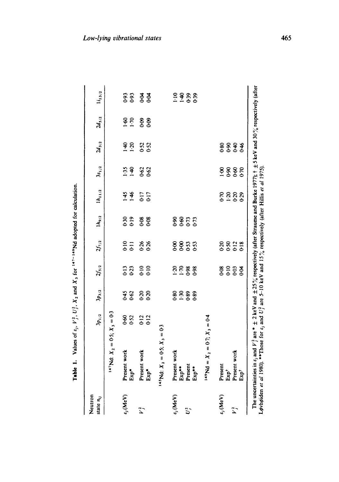| Neutron<br>state $n_{ij}$   |                           | $3p_{1/2}$ | $3p_{3/2}$       | $\mathcal{U}_{5/2}$ | $2f_{7/2}$     | $1h_{9/2}$       | $ h_{11/2}$         | $3s_{1/2}$       | $2d_{3/2}$ | $2d_{5/2}$        | $I_{13/2}$           |
|-----------------------------|---------------------------|------------|------------------|---------------------|----------------|------------------|---------------------|------------------|------------|-------------------|----------------------|
|                             | $X_3 = 0.5$ ; $X_3 = 0.5$ |            |                  |                     |                |                  |                     |                  |            |                   |                      |
| $\epsilon_j(\text{MeV})$    | Present work<br>Exp*      | <b>952</b> | $0.45$<br>0.62   | 3<br>023            | $\frac{10}{6}$ | 0.19<br>0.30     | 145<br>1.46         | 1:35<br>$1 - 40$ | 9.50       | $\frac{60}{1.70}$ | 0.93<br>$6 - 0$      |
| $\ddot{\tilde{\lambda}}$    | Present work<br>Exp*      | 0-12       | 820<br>020       | 0.10                | 0.26           | 0-08<br>$0 - 08$ | 0.17<br>0.17        | <b>962</b>       | 0.52       | <u> ဒီ</u> ဒီ     | ह ह<br>ठ             |
|                             | $X_2 = 0.5; X_3 = 0.5$    |            |                  |                     |                |                  |                     |                  |            |                   |                      |
| $\varepsilon_j(\text{MeV})$ | Present work              |            |                  |                     |                |                  |                     |                  |            |                   | $1 - 10$             |
| $U^2$                       | Present<br>Exp**          |            | 88.989<br>89.989 | 88881               | 8855<br>889    | 8855<br>889      |                     |                  |            |                   | 43<br>43<br>43<br>43 |
|                             | Exp**                     |            |                  |                     |                |                  |                     |                  |            |                   |                      |
|                             | $X_2 = 0.7$ ; $X_3 = 0.4$ |            |                  |                     |                |                  |                     |                  |            |                   |                      |
| $\varepsilon_j(\text{MeV})$ | Present                   |            |                  |                     |                |                  |                     |                  |            |                   |                      |
|                             | $Exp+$                    |            |                  |                     |                |                  |                     |                  |            |                   |                      |
| $\sum_{i=1}^{n}$            | Present work              |            |                  | 8983<br>898         |                |                  | <b>8888</b><br>0100 | 8888             | 888<br>889 |                   |                      |
|                             | Exp <sup>+</sup>          |            |                  |                     |                |                  |                     |                  | 646        |                   |                      |

**Table 1.** Values of  $\varepsilon_1$ ,  $V_1^2$ ,  $U_2^2$ ,  $X_2$  and  $X_3$  for  $147$ <sup>-14</sup>  $\sim$  Md adopted for calculation. Table 1. Values of  $\varepsilon_i$ ,  $V_i^2$ ,  $U_i^2$ ,  $X_2$  and  $X_3$  for  $147 - 149$ Nd adopted for calculation.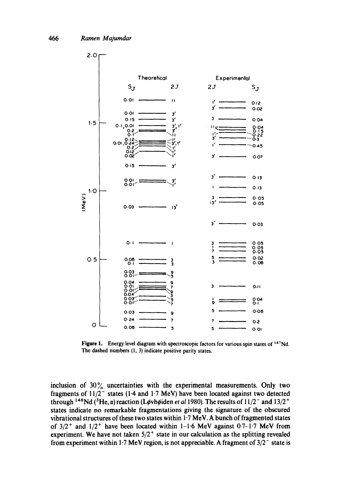

Figure 1. Energy level diagram with spectroscopic factors for various spin states of <sup>147</sup>Nd. The dashed numbers  $(1, 3)$  indicate positive parity states.

inclusion of  $30\%$  uncertainties with the experimental measurements. Only two fragments of  $11/2^-$  states (1.4 and 1.7 MeV) have been located against two detected through <sup>148</sup>Nd (<sup>3</sup>He,  $\alpha$ ) reaction (Løvhøiden *et al* 1980). The results of 11/2<sup>-</sup> and 13/2<sup>+</sup> states indicate no remarkable fragmentations giving the signature of the obscured vibrational structures of these two states within 1.7 MeV. A bunch of fragmented states of  $3/2$ <sup>+</sup> and  $1/2$ <sup>+</sup> have been located within 1-1.6 MeV against 0.7-1.7 MeV from experiment. We have not taken  $5/2^+$  state in our calculation as the splitting revealed from experiment within 1.7 MeV region, is not appreciable. A fragment of  $3/2^-$  state is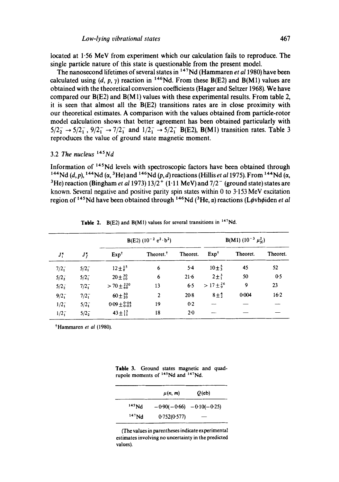**located at 1"56 MeV from experiment which our calculation fails to reproduce. The single particle nature of this state is questionable from the present model.** 

The nanosecond lifetimes of several states in <sup>147</sup>Nd (Hammaren *et al* 1980) have been calculated using  $(d, p, \gamma)$  reaction in <sup>146</sup>Nd. From these B(E2) and B(M1) values are **obtained with the theoretical conversion coefficients (Hager and Seltzer 1968). We have compared our B(E2) and B(M1) values with these experimental results. From table 2, it is seen that almost all the B(E2) transitions rates are in close proximity with our theoretical estimates. A comparison with the values obtained from particle-rotor model calculation shows that better agreement has been obtained particularly with**   $5/2_2^ \rightarrow$   $5/2_1^-$ ,  $9/2_1^ \rightarrow$   $7/2_1^-$  and  $1/2_1^ \rightarrow$   $5/2_1^-$  B(E2), B(M1) transition rates. Table 3 **reproduces the value of ground state magnetic moment.** 

# 3.2 The *nucleus 145Nd*

**Information of 145Nd levels with spectroscopic factors have been obtained through <sup>144</sup>Nd (d, p), <sup>144</sup>Nd (** $\alpha$ **, <sup>3</sup>He) and <sup>146</sup>Nd (p, d) reactions (Hillis** *et al* **1975). From <sup>144</sup>Nd (** $\alpha$ **,** <sup>3</sup>He) reaction (Bingham *et al* 1973)  $13/2$ <sup>+</sup> (1.11 MeV) and  $7/2$ <sup>-</sup> (ground state) states are **known. Several negative and positive parity spin states within 0 to 3.153 MeV excitation**  region of <sup>145</sup>Nd have been obtained through <sup>146</sup>Nd (<sup>3</sup>He,  $\alpha$ ) reactions (Løvhøiden *et al* 

|             |               | B(E2) $(10^{-2} e^2 \cdot b^2)$ |                       |          | <b>B(M1)</b> (10 <sup>-3</sup> $\mu_N^2$ ) |          |          |
|-------------|---------------|---------------------------------|-----------------------|----------|--------------------------------------------|----------|----------|
| $J_1^{\pi}$ | J,            | Exp <sup>†</sup>                | Theoret. <sup>†</sup> | Theoret. | Exp <sup>†</sup>                           | Theoret. | Theoret. |
| $7/2^{2}$   | $5/2^{2}$     | $12 \pm \frac{15}{8}$           | 6                     | $5-4$    | $10 \pm \frac{5}{3}$                       | 45       | 52       |
| $5/2^{-}$   | $5/2^{-}_{1}$ | $20 \pm \frac{30}{10}$          | 6                     | $21-6$   | $2\pm\frac{3}{1}$                          | 50       | 0.5      |
| $5/2^{-}$   | $7/2_1^-$     | $>$ 70 $\pm\frac{220}{60}$      | 13                    | 6.5      | $>17\pm\frac{26}{9}$                       | 9        | 23       |
| $9/2^-$     | $7/2_1^-$     | $60 \pm \frac{30}{20}$          | 2                     | $20-8$   | $8\pm\frac{4}{2}$                          | 0.004    | $16-2$   |
| $1/2_1^-$   | $5/2^{2}$     | $0.09 \pm 0.04$                 | 19                    | 0.2      |                                            |          |          |
| $1/2_1^-$   | $5/2_{2}^{-}$ | $43 \pm \frac{15}{11}$          | 18                    | $2-0$    |                                            |          |          |

**Table** 2. B(E2) and B(MI) **values for several transitions in** 147Nd.

**\*Hammaren** *et al* (1980).

**Table 3. Ground states magnetic and quad**rupole moments of <sup>145</sup>Nd and <sup>147</sup>Nd.

|                   | $\mu(n, m)$                 | $Q$ (eb) |
|-------------------|-----------------------------|----------|
| 145 <sub>Nd</sub> | $-0.90(-0.66) -0.10(-0.25)$ |          |
| $147$ Nd          | 0.752(0.577)                |          |

(The **values in parentheses indicate experimental estimates involving no uncertainty in the predicted values).**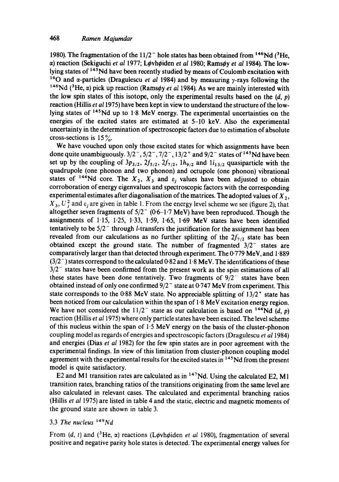1980). The fragmentation of the  $11/2^-$  hole states has been obtained from <sup>146</sup>Nd (<sup>3</sup>He, a) reaction (Sekiguchi *et al 1977*; Løvhøiden *et al 1980; Ramsøy et al 1984*). The lowlying states of <sup>145</sup>Nd have been recently studied by means of Coulomb excitation with <sup>16</sup>O and  $\alpha$ -particles (Dragulescu *et al* 1984) and by measuring  $\gamma$ -rays following the <sup>146</sup>Nd (<sup>3</sup>He,  $\alpha$ ) pick up reaction (Ramsøy *et al* 1984). As we are mainly interested with the low spin states of this isotope, only the experimental results based on the  $(d, p)$ reaction (Hillis *et a11975)* have been kept in view to understand the structure of the lowlying states of <sup>145</sup>Nd up to 1.8 MeV energy. The experimental uncertainties on the energies of the excited states are estimated at 5-10 keV. Also the experimental uncertainty in the determination of spectroscopic factors due to estimation of absolute cross-sections is  $15\%$ .

We have vouched upon only those excited states for which assignments have been done quite unambiguously.  $3/2^-$ ,  $5/2^-$ ,  $7/2^-$ ,  $13/2^+$  and  $9/2^-$  states of <sup>145</sup>Nd have been set up by the coupling of  $3p_{3/2}$ ,  $2f_{5/2}$ ,  $2f_{7/2}$ ,  $1h_{9/2}$  and  $1i_{13/2}$  quasiparticle with the quadrupole (one phonon and two phonon) and octupole (one phonon) vibrational states of <sup>144</sup>Nd core. The  $X_2$ ,  $X_3$  and  $\varepsilon_i$  values have been adjusted to obtain corroboration of energy eigenvalues and spectroscopic factors with the corresponding experimental estimates after diagonalisation of the matrices. The adopted values of  $X_2$ ,  $X_3, U_j^2$  and  $\varepsilon_j$  are given in table 1. From the energy level scheme we see (figure 2), that altogether seven fragments of  $5/2^-$  (0.6-1.7 MeV) have been reproduced. Though the assignments of  $1.15$ ,  $1.25$ ,  $1.33$ ,  $1.59$ ,  $1.65$ ,  $1.69$  MeV states have been identified tentatively to be  $5/2^-$  through *l*-transfers the justification for the assignment has been revealed from our calculations as no further splitting of the  $2f_{7/2}$  state has been obtained except the ground state. The number of fragmented  $3/2^-$  states are comparatively larger than that detected through experiment. The 0.779 MeV, and 1.889  $(3/2^-)$  states correspond to the calculated 0-82 and 1-8 MeV. The identifications of these  $3/2^-$  states have been confirmed from the present work as the spin estimations of all these states have been done tentatively. Two fragments of  $9/2^-$  states have been obtained instead of only one confirmed  $9/2^-$  state at 0.747 MeV from experiment. This state corresponds to the 0.88 MeV state. No appreciable splitting of  $13/2^+$  state has been noticed from our calculation within the span of 1.8 MeV excitation energy region. We have not considered the  $11/2^-$  state as our calculation is based on <sup>144</sup>Nd (d, p) reaction (Hillis *et a11975)* where only particle states have been excited. The level scheme of this nucleus within the span of  $1.5$  MeV energy on the basis of the cluster-phonon coupling model as regards of energies and spectroscopic factors (Dragulescu *et a11984)*  and energies (Dias *et al* 1982) for the few spin states are in poor agreement with the experimental findings. In view of this limitation from cluster-phonon coupling model agreement with the experimental results for the excited states in <sup>145</sup>Nd from the present model is quite satisfactory.

E2 and M1 transition rates are calculated as in  $^{147}$ Nd. Using the calculated E2, M1 transition rates, branching ratios of the transitions originating from the same level are also calculated in relevant cases. The calculated and experimental branching ratios (Hillis *et al* 1975) are listed in table 4 and the static, electric and magnetic moments of the ground state are shown in table 3.

# 3.3 *The nucleus l'\*9Nd*

From  $(d, t)$  and  $({}^{3}He, \alpha)$  reactions (Løvhøiden *et al* 1980), fragmentation of several positive and negative parity hole states is detected. The experimental energy values for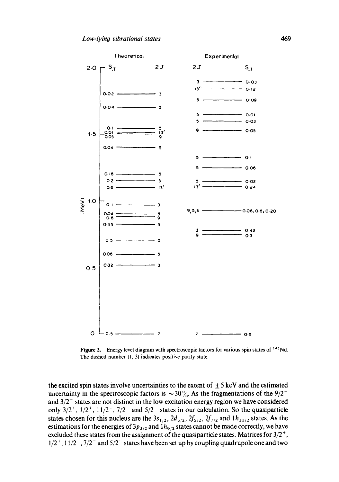

Figure 2. Energy level diagram with spectroscopic factors for various spin states of <sup>145</sup>Nd. The dashed number (1, 3) indicates positive parity state.

the excited spin states involve uncertainties to the extent of  $\pm$  5 keV and the estimated uncertainty in the spectroscopic factors is  $\sim 30\%$ . As the fragmentations of the 9/2<sup>-</sup> and  $3/2^-$  states are not distinct in the low excitation energy region we have considered only  $3/2^+$ ,  $1/2^+$ ,  $11/2^-$ ,  $7/2^-$  and  $5/2^-$  states in our calculation. So the quasiparticle states chosen for this nucleus are the  $3s_{1/2}$ ,  $2d_{3/2}$ ,  $2f_{5/2}$ ,  $2f_{7/2}$  and  $1h_{11/2}$  states. As the estimations for the energies of  $3p_{3/2}$  and  $1h_{9/2}$  states cannot be made correctly, we have excluded these states from the assignment of the quasiparticle states. Matrices for  $3/2^+$ ,  $1/2^+$ ,  $11/2^-$ ,  $7/2^-$  and  $5/2^-$  states have been set up by coupling quadrupole one and two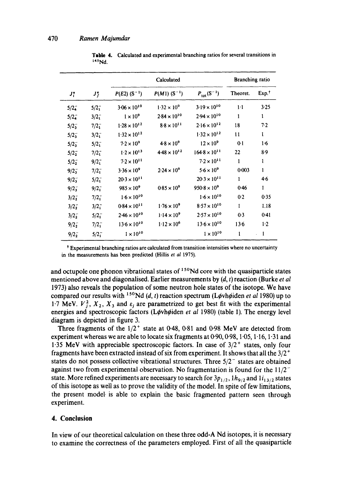|               |                  |                            | Branching ratio            |                          |              |                   |
|---------------|------------------|----------------------------|----------------------------|--------------------------|--------------|-------------------|
| $J_i^*$       | $J_f^{\pi}$      | $P(E2)$ (S <sup>-1</sup> ) | $P(M1)$ (S <sup>-1</sup> ) | $P_{\text{tot}}(S^{-1})$ | Theoret.     | Exp. <sup>†</sup> |
| $5/2^{2}$     | $5/2^-$          | $3.06 \times 10^{10}$      | $1.32 \times 10^{9}$       | $3.19 \times 10^{10}$    | $1-1$        | 3.25              |
| $5/2^{2}$     | $3/2^{-}_{1}$    | $1 \times 10^9$            | $2.84 \times 10^{10}$      | $2.94 \times 10^{10}$    | $\mathbf{1}$ | 1                 |
| $5/2_{3}^{-}$ | $7/2_1^-$        | $1.28 \times 10^{12}$      | $8.8\times10^{11}$         | $2.16 \times 10^{12}$    | 18           | 7.2               |
| $5/2_{3}^{-}$ | $3/2_1^-$        | $1.32 \times 10^{12}$      |                            | $1.32 \times 10^{12}$    | 11           | ı                 |
| $5/2_3^-$     | $5/2_1^-$        | $7.2 \times 10^{9}$        | $4.8 \times 10^{9}$        | $12 \times 10^9$         | $0-1$        | $1-6$             |
| $5/2_{2}^{-}$ | 7/2 <sub>1</sub> | $1.2 \times 10^{13}$       | $4.48 \times 10^{12}$      | $164.8 \times 10^{11}$   | 22           | 8.9               |
| $5/2_{2}^{-}$ | $9/2_1^-$        | $7.2 \times 10^{11}$       |                            | $7.2 \times 10^{11}$     | $\mathbf{1}$ | 1                 |
| $9/2_{3}^{-}$ | $7/2_1^-$        | $3.36 \times 10^{9}$       | $2.24 \times 10^{9}$       | $5.6 \times 10^{9}$      | 0:003        | $\mathbf{1}$      |
| $9/2_{3}^{-}$ | $5/2^{2}$        | $20.3 \times 10^{11}$      |                            | $20.3 \times 10^{11}$    | $\mathbf{1}$ | 4.6               |
| $9/2_{3}^{-}$ | $9/2^-$          | $985 \times 10^{9}$        | $0.85 \times 10^{9}$       | $950.8 \times 10^{9}$    | $0 - 46$     | 1                 |
| $3/2_{2}^{-}$ | $7/2^{2}$        | $1.6 \times 10^{10}$       |                            | $1.6 \times 10^{10}$     | 0.2          | 0.35              |
| $3/2^{2}$     | $3/2_1$          | $0.84 \times 10^{11}$      | $1.76 \times 10^{9}$       | $8.57 \times 10^{10}$    | 1            | 1.18              |
| $3/2_{2}^{-}$ | $5/2^{-}_{1}$    | $2.46 \times 10^{10}$      | $1.14 \times 10^{9}$       | $2.57 \times 10^{10}$    | 0.3          | 0.41              |
| $9/2^{2}$     | $7/2^{-}_{1}$    | $13.6 \times 10^{10}$      | $1.12 \times 10^{6}$       | $13.6 \times 10^{10}$    | $13-6$       | 1.2               |
| $9/2^{2}$     | $5/2^{2}$        | $1\times10^{10}$           |                            | $1\times10^{10}$         | 1            | 1                 |

Table 4. Calculated and experimental branching ratios for several transitions in  $145$ Nd.

Experimental branching ratios are calculated from transition intensities where no uncertainty in the measurements has been predicted (HiUis *et al* 1975).

and octupole one phonon vibrational states of  $150$ Nd core with the quasiparticle states mentioned above and diagonalised. Earlier measurements by (d, t) reaction (Burke *et al*  1973) also reveals the population of some neutron hole states of the isotope. We have compared our results with <sup>150</sup>Nd (d, t) reaction spectrum (Løvhøiden *et al* 1980) up to 1-7 MeV.  $V_1^2$ ,  $X_2$ ,  $X_3$  and  $\varepsilon_i$  are parametrized to get best fit with the experimental energies and spectroscopic factors (Løvhøiden et al 1980) (table 1). The energy level diagram is depicted in figure 3.

Three fragments of the  $1/2^+$  state at 0.48, 0.81 and 0.98 MeV are detected from experiment whereas we are able to locate six fragments at  $0.90, 0.98, 1.05, 1.16, 1.31$  and 1.35 MeV with appreciable spectroscopic factors. In case of  $3/2^+$  states, only four fragments have been extracted instead of six from experiment. It shows that all the  $3/2^+$ states do not possess collective vibrational structures. Three  $5/2^-$  states are obtained against two from experimental observation. No fragmentation is found for the  $11/2^$ state. More refined experiments are necessary to search for  $3p_{1/2}$ ,  $1h_{9/2}$  and  $1i_{13/2}$  states of this isotope as well as to prove the validity of the model. In spite of few limitations, the present model is able to explain the basic fragmented pattern seen through experiment.

# **4. Conclusion**

In view of our theoretical calculation on these three odd-A Nd isotopes, it is necessary to examine the correctness of the parameters employed. First of all the quasiparticle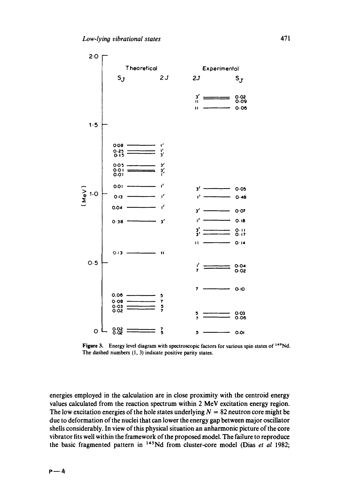

Figure 3. Energy level diagram with spectroscopic factors for various spin states of <sup>149</sup>Nd. The dashed numbers (1, 3) indicate positive parity states.

energies employed in the calculation are in close proximity with the centroid energy values calculated from the reaction spectrum within 2 MeV excitation energy region. The low excitation energies of the hole states underlying  $N = 82$  neutron core might be due to deformation of the nuclei that can lower the energy gap between major oscillator shells considerably. In view of this physical situation an anharmonic picture of the core vibrator fits well within the framework of the proposed model. The failure to reproduce the basic fragmented pattern in <sup>145</sup>Nd from cluster-core model (Dias et al 1982;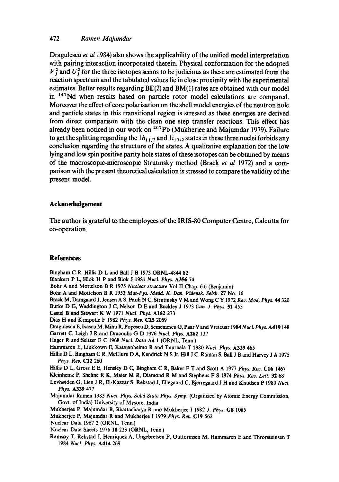# **472** *Ramen Majumdar*

**Dragulescu** *et al* **1984) also shows the applicability of the unified model interpretation with pairing interaction incorporated therein. Physical conformation for the adopted**   $V_i^2$  and  $U_i^2$  for the three isotopes seems to be judicious as these are estimated from the **reaction spectrum and the tabulated values lie in close proximity with the experimental estimates. Better results regarding BE(2) and BM(1) rates are obtained with our model**  in <sup>147</sup>Nd when results based on particle rotor model calculations are compared. **Moreover the effect of core polarisation on the shell model energies of the neutron hole and particle states in this transitional region is stressed as these energies are derived from direct comparison with the clean one step transfer reactions. This effect has already been noticed in our work on 2°~pb (Mukherjee and Majumdar 1979). Failure**  to get the splitting regarding the  $1h_{11/2}$  and  $1i_{13/2}$  states in these three nuclei forbids any **conclusion regarding the structure of the states. A qualitative explanation for the low lying and low spin positive parity hole states of these isotopes can be obtained by means of the macroscopic-microscopic Strutinsky method (Brack** *et al* **1972) and a comparison with the present theoretical calculation is stressed to compare the validity of the present model.** 

# **Acknowledgement**

**The author is grateful to the employees of the IRIS-80 Computer Centre, Calcutta for co-operation.** 

# **References**

**Bingham** C R, HiUis D L and Ball J B 1973 ORNL-4844 82 **Blankert** P L, Hlok H P and Blok J 1981 *Nucl. Phys.* A356 74 **Bohr A and Mottelson** B R 1975 *Nuclear structure* **Vol** II Chap. 6.6 (Benjamin) **Bohr A and Mottelson B R** 1953 *Mat-Fys. Medd. K. Dan. Vidensk. Selsk.* 27 No. 16 Brack M, Damgaard J, Jensen A S, Pauli N C, Strutinsky V M **and Wong** C Y 1972 *Rev. Mod. Phys. 44* 320 Burke D G, Waddington J C, Nelson D E and Buckley J 1973 *Can. J. Phys.* 51 455 Castel B **and Stewart** K W 1971 *Nucl. Phys.* A162 273 Dias H **and Krmpotic** F 1982 *Phys. Rev. C25* 2059 **Dragulescu** E, Ivascu M, Mihu R, Popescu D, Sememescu G, Paar V **and Vreteuar** 1984 *Nucl. Phys.* A419148 **Garrett C, Leigh** J R **and Dracoulis** G D 1976 *Nucl. Phys.* A262 137 **Hager R and Seltzer** E C 1968 *Nucl. Data* A4 1 (ORNL, Tenn.) **Hammaren** E, Liukkown E, Katajanheimo R and Tuurnala T 1980 *Nucl. Phys.* A339 465 **Hillis** D L, Bingham C R, McClure D A, Kendrick N S Jr, Hill J C, Raman S, Ball J B and Harvey J A 1975 *Phys. Rev.* C12 260 **Hilhs** D L, Gross E E, Hensley D C, Bingham C R, Baker F T **and Scott** A 1977 *Phys. Rev.* C16 1467 **Kleinheinz P, Sheline** R K, Maier M R, Diamond R M **and Stephens** F S 1974 *Phys. Rev. Lett.* 32 68 **Lovheiden G, Lien J R,** EI-Kazzar S, Rekstad J, Ellegaard C, Bjerregaard J H **and Knudsen** P 1980 *Nucl. Phys.* A339 477 Majumdar Ramen 1983 *Nucl. Phys. Solid State Phys. Symp.* (Organized by **Atomic Energy Commission,**  Govt. of India) **University of Mysore, India Mukherjee** P, Majumdar R, Bhattacharya R **and Mukherjee** I 1982 *,i. Phys.* Gg 1085 Mukherje¢ P, Majumdar R **and Mukherjee** I 1979 *Phys. Rev.* C19 562 **Nuclear** Data 1967 2 (ORNL, Tenn.) **Nuclear Data Sheets** 1976 18 223 (ORNL, Tenn.) Ramsey T, Rekstad J, Henriquez A, Ungebretsen F, Guttormsen M, Hammaren E **and Throrsteinsen** T 1984 *Nucl. Phys.* A414 269